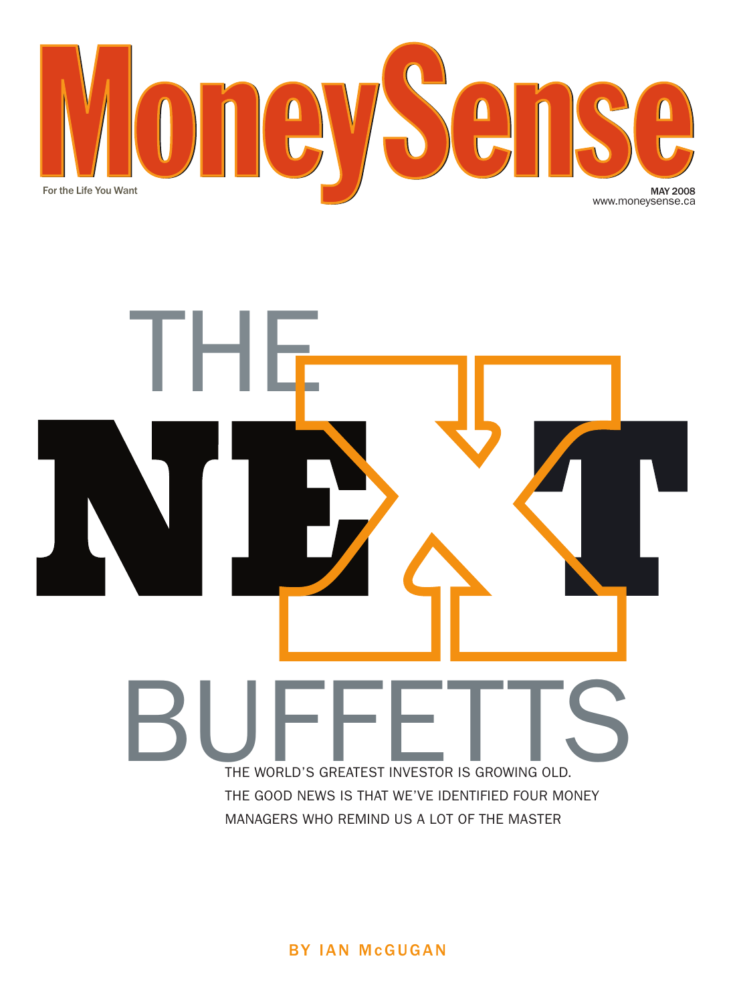

# THE WORLD'S GREATEST INVESTOR IS GROWING OLD. THE GOOD NEWS IS THAT WE'VE IDENTIFIED FOUR MONEY MANAGERS WHO REMIND US A LOT OF THE MASTER THE WORLD'S GREATEST INVESTOR IS GROWING OLD. THE

BY IAN McGUGAN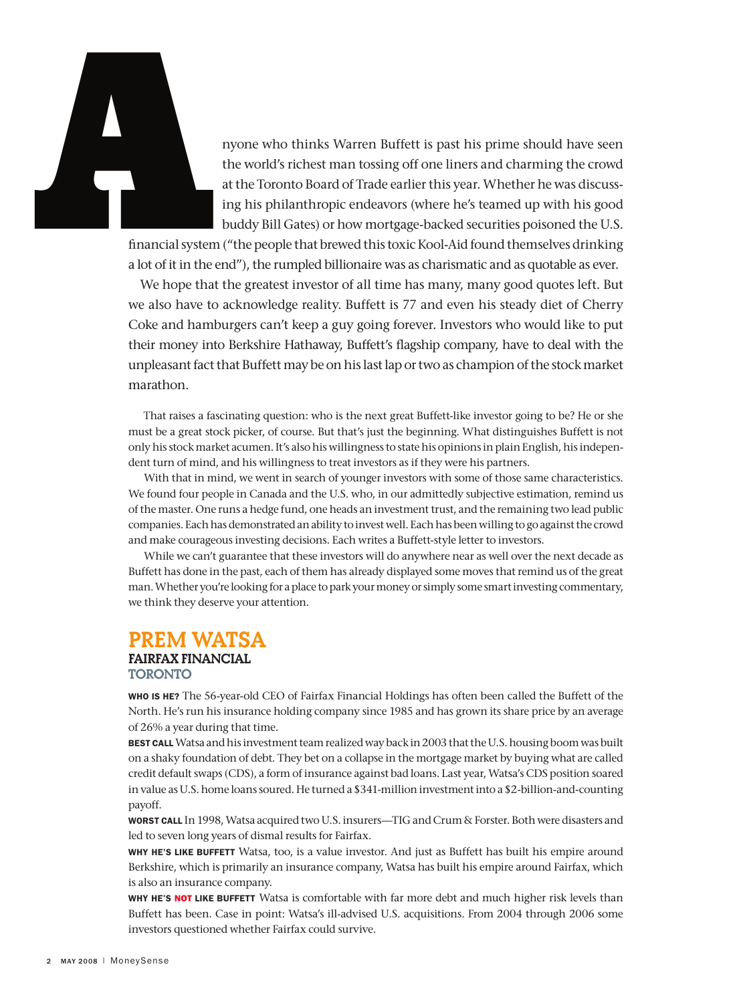## For Single Print Only

nyone who thinks Warren Buffett is past his prime should have seen the world's richest man tossing off one liners and charming the crowd at the Toronto Board of Trade earlier this year. Whether he was discussing his philanthropic endeavors (where he's teamed up with his good buddy Bill Gates) or how mortgage-backed securities poisoned the U.S.

financial system ("the people that brewed this toxic Kool-Aid found themselves drinking a lot of it in the end"), the rumpled billionaire was as charismatic and as quotable as ever. financial syster<br>a lot of it in the

We hope that the greatest investor of all time has many, many good quotes left. But we also have to acknowledge reality. Buffett is 77 and even his steady diet of Cherry Coke and hamburgers can't keep a guy going forever. Investors who would like to put their money into Berkshire Hathaway, Buffett's flagship company, have to deal with the unpleasant fact that Buffett may be on his last lap or two as champion of the stock market marathon.

 That raises a fascinating question: who is the next great Buffett-like investor going to be? He or she must be a great stock picker, of course. But that's just the beginning. What distinguishes Buffett is not only his stock market acumen. It's also his willingness to state his opinions in plain English, his independent turn of mind, and his willingness to treat investors as if they were his partners.

With that in mind, we went in search of younger investors with some of those same characteristics. We found four people in Canada and the U.S. who, in our admittedly subjective estimation, remind us of the master. One runs a hedge fund, one heads an investment trust, and the remaining two lead public companies. Each has demonstrated an ability to invest well. Each has been willing to go against the crowd and make courageous investing decisions. Each writes a Buffett-style letter to investors.

While we can't guarantee that these investors will do anywhere near as well over the next decade as Buffett has done in the past, each of them has already displayed some moves that remind us of the great man. Whether you're looking for a place to park your money or simply some smart investing commentary, we think they deserve your attention.

## **PREM WATSA**

#### **FAIRFAX FINANCIAL TORONTO**

WHO IS HE? The 56-year-old CEO of Fairfax Financial Holdings has often been called the Buffett of the North. He's run his insurance holding company since 1985 and has grown its share price by an average of 26% a year during that time.

BEST CALL Watsa and his investment team realized way back in 2003 that the U.S. housing boom was built on a shaky foundation of debt. They bet on a collapse in the mortgage market by buying what are called credit default swaps (CDS), a form of insurance against bad loans. Last year, Watsa's CDS position soared in value as U.S. home loans soured. He turned a \$341-million investment into a \$2-billion-and-counting payoff.

WORST CALL In 1998, Watsa acquired two U.S. insurers—TIG and Crum & Forster. Both were disasters and led to seven long years of dismal results for Fairfax.

WHY HE'S LIKE BUFFETT Watsa, too, is a value investor. And just as Buffett has built his empire around Berkshire, which is primarily an insurance company, Watsa has built his empire around Fairfax, which is also an insurance company.

WHY HE'S NOT LIKE BUFFETT Watsa is comfortable with far more debt and much higher risk levels than Buffett has been. Case in point: Watsa's ill-advised U.S. acquisitions. From 2004 through 2006 some investors questioned whether Fairfax could survive.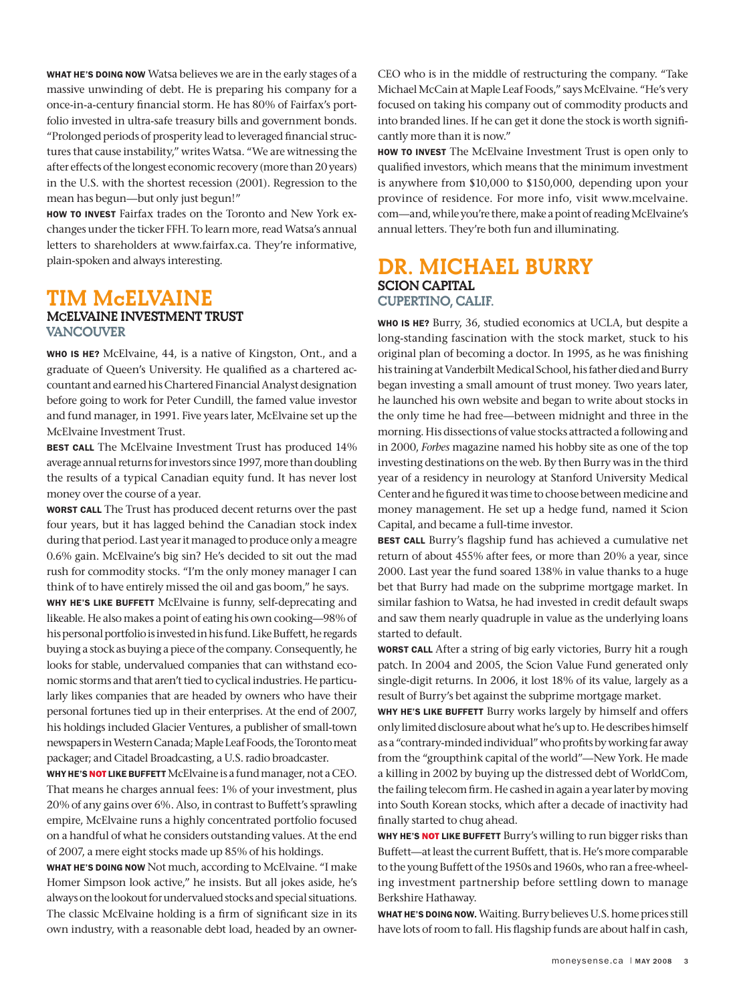# For Single Print Only

WHAT HE'S DOING NOW Watsa believes we are in the early stages of a massive unwinding of debt. He is preparing his company for a once-in-a-century financial storm. He has 80% of Fairfax's portfolio invested in ultra-safe treasury bills and government bonds. "Prolonged periods of prosperity lead to leveraged financial structures that cause instability," writes Watsa. "We are witnessing the after effects of the longest economic recovery (more than 20 years) in the U.S. with the shortest recession (2001). Regression to the mean has begun—but only just begun!"

HOW TO INVEST Fairfax trades on the Toronto and New York exchanges under the ticker FFH. To learn more, read Watsa's annual letters to shareholders at www.fairfax.ca. They're informative, plain-spoken and always interesting.

## **TIM McELVAINE**

#### **MCELVAINE INVESTMENT TRUST VANCOUVER**

WHO IS HE? McElvaine, 44, is a native of Kingston, Ont., and a graduate of Queen's University. He qualified as a chartered accountant and earned his Chartered Financial Analyst designation before going to work for Peter Cundill, the famed value investor and fund manager, in 1991. Five years later, McElvaine set up the McElvaine Investment Trust.

BEST CALL The McElvaine Investment Trust has produced 14% average annual returns for investors since 1997, more than doubling the results of a typical Canadian equity fund. It has never lost money over the course of a year.

WORST CALL The Trust has produced decent returns over the past four years, but it has lagged behind the Canadian stock index during that period. Last year it managed to produce only a meagre 0.6% gain. McElvaine's big sin? He's decided to sit out the mad rush for commodity stocks. "I'm the only money manager I can think of to have entirely missed the oil and gas boom," he says.

WHY HE'S LIKE BUFFETT McElvaine is funny, self-deprecating and likeable. He also makes a point of eating his own cooking—98% of his personal portfolio is invested in his fund. Like Buffett, he regards buying a stock as buying a piece of the company. Consequently, he looks for stable, undervalued companies that can withstand economic storms and that aren't tied to cyclical industries. He particularly likes companies that are headed by owners who have their personal fortunes tied up in their enterprises. At the end of 2007, his holdings included Glacier Ventures, a publisher of small-town newspapers in Western Canada; Maple Leaf Foods, the Toronto meat packager; and Citadel Broadcasting, a U.S. radio broadcaster.

WHY HE'S NOT LIKE BUFFETT McElvaine is a fund manager, not a CEO. That means he charges annual fees: 1% of your investment, plus 20% of any gains over 6%. Also, in contrast to Buffett's sprawling empire, McElvaine runs a highly concentrated portfolio focused on a handful of what he considers outstanding values. At the end of 2007, a mere eight stocks made up 85% of his holdings.

WHAT HE'S DOING NOW Not much, according to McElvaine. "I make Homer Simpson look active," he insists. But all jokes aside, he's always on the lookout for undervalued stocks and special situations. The classic McElvaine holding is a firm of significant size in its own industry, with a reasonable debt load, headed by an ownerCEO who is in the middle of restructuring the company. "Take Michael McCain at Maple Leaf Foods," says McElvaine. "He's very focused on taking his company out of commodity products and into branded lines. If he can get it done the stock is worth significantly more than it is now."

HOW TO INVEST The McElvaine Investment Trust is open only to qualified investors, which means that the minimum investment is anywhere from \$10,000 to \$150,000, depending upon your province of residence. For more info, visit www.mcelvaine. com—and, while you're there, make a point of reading McElvaine's annual letters. They're both fun and illuminating.

#### **DR. MICHAEL BURRY SCION CAPITAL CUPERTINO, CALIF.**

WHO IS HE? Burry, 36, studied economics at UCLA, but despite a long-standing fascination with the stock market, stuck to his original plan of becoming a doctor. In 1995, as he was finishing his training at Vanderbilt Medical School, his father died and Burry began investing a small amount of trust money. Two years later, he launched his own website and began to write about stocks in the only time he had free—between midnight and three in the morning. His dissections of value stocks attracted a following and in 2000, *Forbes* magazine named his hobby site as one of the top investing destinations on the web. By then Burry was in the third year of a residency in neurology at Stanford University Medical Center and he figured it was time to choose between medicine and money management. He set up a hedge fund, named it Scion Capital, and became a full-time investor.

BEST CALL Burry's flagship fund has achieved a cumulative net return of about 455% after fees, or more than 20% a year, since 2000. Last year the fund soared 138% in value thanks to a huge bet that Burry had made on the subprime mortgage market. In similar fashion to Watsa, he had invested in credit default swaps and saw them nearly quadruple in value as the underlying loans started to default.

WORST CALL After a string of big early victories, Burry hit a rough patch. In 2004 and 2005, the Scion Value Fund generated only single-digit returns. In 2006, it lost 18% of its value, largely as a result of Burry's bet against the subprime mortgage market.

WHY HE'S LIKE BUFFETT Burry works largely by himself and offers only limited disclosure about what he's up to. He describes himself as a "contrary-minded individual" who profits by working far away from the "groupthink capital of the world"—New York. He made a killing in 2002 by buying up the distressed debt of WorldCom, the failing telecom firm. He cashed in again a year later by moving into South Korean stocks, which after a decade of inactivity had finally started to chug ahead.

WHY HE'S NOT LIKE BUFFETT Burry's willing to run bigger risks than Buffett—at least the current Buffett, that is. He's more comparable to the young Buffett of the 1950s and 1960s, who ran a free-wheeling investment partnership before settling down to manage Berkshire Hathaway.

WHAT HE'S DOING NOW. Waiting. Burry believes U.S. home prices still have lots of room to fall. His flagship funds are about half in cash,